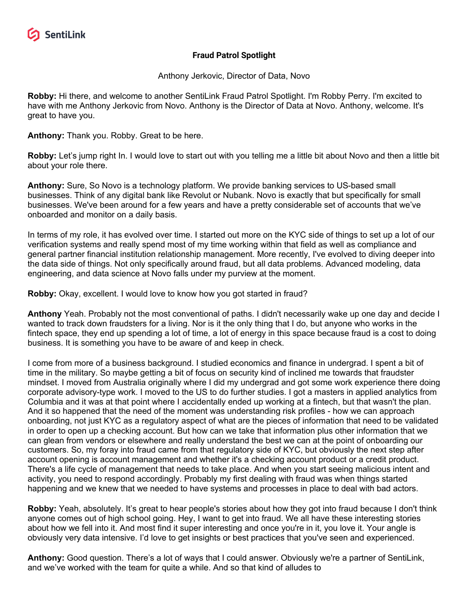

## **Fraud Patrol Spotlight**

Anthony Jerkovic, Director of Data, Novo

**Robby:** Hi there, and welcome to another SentiLink Fraud Patrol Spotlight. I'm Robby Perry. I'm excited to have with me Anthony Jerkovic from Novo. Anthony is the Director of Data at Novo. Anthony, welcome. It's great to have you.

**Anthony:** Thank you. Robby. Great to be here.

**Robby:** Let's jump right In. I would love to start out with you telling me a little bit about Novo and then a little bit about your role there.

**Anthony:** Sure, So Novo is a technology platform. We provide banking services to US-based small businesses. Think of any digital bank like Revolut or Nubank. Novo is exactly that but specifically for small businesses. We've been around for a few years and have a pretty considerable set of accounts that we've onboarded and monitor on a daily basis.

In terms of my role, it has evolved over time. I started out more on the KYC side of things to set up a lot of our verification systems and really spend most of my time working within that field as well as compliance and general partner financial institution relationship management. More recently, I've evolved to diving deeper into the data side of things. Not only specifically around fraud, but all data problems. Advanced modeling, data engineering, and data science at Novo falls under my purview at the moment.

**Robby:** Okay, excellent. I would love to know how you got started in fraud?

**Anthony** Yeah. Probably not the most conventional of paths. I didn't necessarily wake up one day and decide I wanted to track down fraudsters for a living. Nor is it the only thing that I do, but anyone who works in the fintech space, they end up spending a lot of time, a lot of energy in this space because fraud is a cost to doing business. It is something you have to be aware of and keep in check.

I come from more of a business background. I studied economics and finance in undergrad. I spent a bit of time in the military. So maybe getting a bit of focus on security kind of inclined me towards that fraudster mindset. I moved from Australia originally where I did my undergrad and got some work experience there doing corporate advisory-type work. I moved to the US to do further studies. I got a masters in applied analytics from Columbia and it was at that point where I accidentally ended up working at a fintech, but that wasn't the plan. And it so happened that the need of the moment was understanding risk profiles - how we can approach onboarding, not just KYC as a regulatory aspect of what are the pieces of information that need to be validated in order to open up a checking account. But how can we take that information plus other information that we can glean from vendors or elsewhere and really understand the best we can at the point of onboarding our customers. So, my foray into fraud came from that regulatory side of KYC, but obviously the next step after account opening is account management and whether it's a checking account product or a credit product. There's a life cycle of management that needs to take place. And when you start seeing malicious intent and activity, you need to respond accordingly. Probably my first dealing with fraud was when things started happening and we knew that we needed to have systems and processes in place to deal with bad actors.

**Robby:** Yeah, absolutely. It's great to hear people's stories about how they got into fraud because I don't think anyone comes out of high school going. Hey, I want to get into fraud. We all have these interesting stories about how we fell into it. And most find it super interesting and once you're in it, you love it. Your angle is obviously very data intensive. I'd love to get insights or best practices that you've seen and experienced.

**Anthony:** Good question. There's a lot of ways that I could answer. Obviously we're a partner of SentiLink, and we've worked with the team for quite a while. And so that kind of alludes to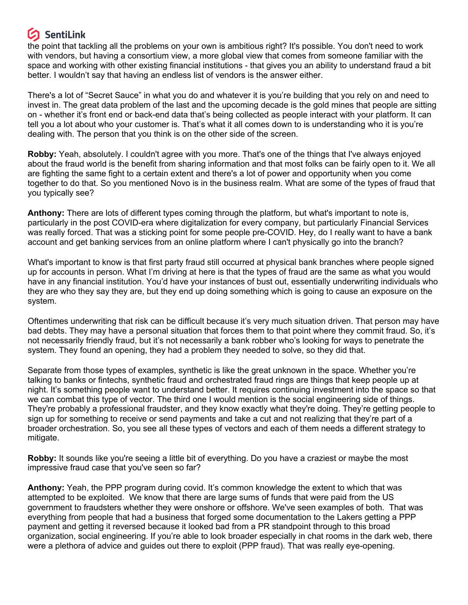## **SentiLink**

the point that tackling all the problems on your own is ambitious right? It's possible. You don't need to work with vendors, but having a consortium view, a more global view that comes from someone familiar with the space and working with other existing financial institutions - that gives you an ability to understand fraud a bit better. I wouldn't say that having an endless list of vendors is the answer either.

There's a lot of "Secret Sauce" in what you do and whatever it is you're building that you rely on and need to invest in. The great data problem of the last and the upcoming decade is the gold mines that people are sitting on - whether it's front end or back-end data that's being collected as people interact with your platform. It can tell you a lot about who your customer is. That's what it all comes down to is understanding who it is you're dealing with. The person that you think is on the other side of the screen.

**Robby:** Yeah, absolutely. I couldn't agree with you more. That's one of the things that I've always enjoyed about the fraud world is the benefit from sharing information and that most folks can be fairly open to it. We all are fighting the same fight to a certain extent and there's a lot of power and opportunity when you come together to do that. So you mentioned Novo is in the business realm. What are some of the types of fraud that you typically see?

**Anthony:** There are lots of different types coming through the platform, but what's important to note is, particularly in the post COVID-era where digitalization for every company, but particularly Financial Services was really forced. That was a sticking point for some people pre-COVID. Hey, do I really want to have a bank account and get banking services from an online platform where I can't physically go into the branch?

What's important to know is that first party fraud still occurred at physical bank branches where people signed up for accounts in person. What I'm driving at here is that the types of fraud are the same as what you would have in any financial institution. You'd have your instances of bust out, essentially underwriting individuals who they are who they say they are, but they end up doing something which is going to cause an exposure on the system.

Oftentimes underwriting that risk can be difficult because it's very much situation driven. That person may have bad debts. They may have a personal situation that forces them to that point where they commit fraud. So, it's not necessarily friendly fraud, but it's not necessarily a bank robber who's looking for ways to penetrate the system. They found an opening, they had a problem they needed to solve, so they did that.

Separate from those types of examples, synthetic is like the great unknown in the space. Whether you're talking to banks or fintechs, synthetic fraud and orchestrated fraud rings are things that keep people up at night. It's something people want to understand better. It requires continuing investment into the space so that we can combat this type of vector. The third one I would mention is the social engineering side of things. They're probably a professional fraudster, and they know exactly what they're doing. They're getting people to sign up for something to receive or send payments and take a cut and not realizing that they're part of a broader orchestration. So, you see all these types of vectors and each of them needs a different strategy to mitigate.

**Robby:** It sounds like you're seeing a little bit of everything. Do you have a craziest or maybe the most impressive fraud case that you've seen so far?

**Anthony:** Yeah, the PPP program during covid. It's common knowledge the extent to which that was attempted to be exploited. We know that there are large sums of funds that were paid from the US government to fraudsters whether they were onshore or offshore. We've seen examples of both. That was everything from people that had a business that forged some documentation to the Lakers getting a PPP payment and getting it reversed because it looked bad from a PR standpoint through to this broad organization, social engineering. If you're able to look broader especially in chat rooms in the dark web, there were a plethora of advice and guides out there to exploit (PPP fraud). That was really eye-opening.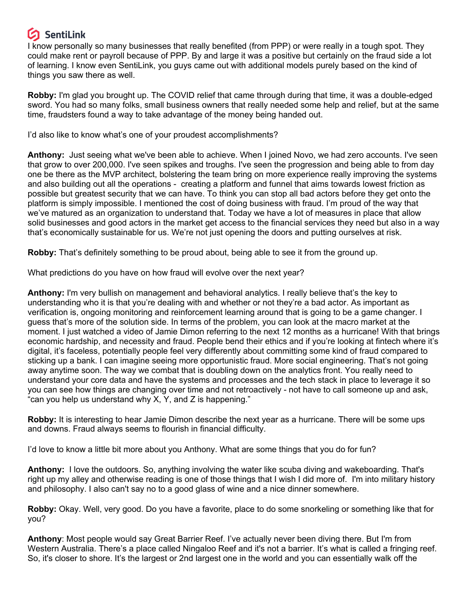## **SentiLink**

I know personally so many businesses that really benefited (from PPP) or were really in a tough spot. They could make rent or payroll because of PPP. By and large it was a positive but certainly on the fraud side a lot of learning. I know even SentiLink, you guys came out with additional models purely based on the kind of things you saw there as well.

**Robby:** I'm glad you brought up. The COVID relief that came through during that time, it was a double-edged sword. You had so many folks, small business owners that really needed some help and relief, but at the same time, fraudsters found a way to take advantage of the money being handed out.

I'd also like to know what's one of your proudest accomplishments?

**Anthony:** Just seeing what we've been able to achieve. When I joined Novo, we had zero accounts. I've seen that grow to over 200,000. I've seen spikes and troughs. I've seen the progression and being able to from day one be there as the MVP architect, bolstering the team bring on more experience really improving the systems and also building out all the operations - creating a platform and funnel that aims towards lowest friction as possible but greatest security that we can have. To think you can stop all bad actors before they get onto the platform is simply impossible. I mentioned the cost of doing business with fraud. I'm proud of the way that we've matured as an organization to understand that. Today we have a lot of measures in place that allow solid businesses and good actors in the market get access to the financial services they need but also in a way that's economically sustainable for us. We're not just opening the doors and putting ourselves at risk.

**Robby:** That's definitely something to be proud about, being able to see it from the ground up.

What predictions do you have on how fraud will evolve over the next year?

**Anthony:** I'm very bullish on management and behavioral analytics. I really believe that's the key to understanding who it is that you're dealing with and whether or not they're a bad actor. As important as verification is, ongoing monitoring and reinforcement learning around that is going to be a game changer. I guess that's more of the solution side. In terms of the problem, you can look at the macro market at the moment. I just watched a video of Jamie Dimon referring to the next 12 months as a hurricane! With that brings economic hardship, and necessity and fraud. People bend their ethics and if you're looking at fintech where it's digital, it's faceless, potentially people feel very differently about committing some kind of fraud compared to sticking up a bank. I can imagine seeing more opportunistic fraud. More social engineering. That's not going away anytime soon. The way we combat that is doubling down on the analytics front. You really need to understand your core data and have the systems and processes and the tech stack in place to leverage it so you can see how things are changing over time and not retroactively - not have to call someone up and ask, "can you help us understand why X, Y, and Z is happening."

**Robby:** It is interesting to hear Jamie Dimon describe the next year as a hurricane. There will be some ups and downs. Fraud always seems to flourish in financial difficulty.

I'd love to know a little bit more about you Anthony. What are some things that you do for fun?

**Anthony:** I love the outdoors. So, anything involving the water like scuba diving and wakeboarding. That's right up my alley and otherwise reading is one of those things that I wish I did more of. I'm into military history and philosophy. I also can't say no to a good glass of wine and a nice dinner somewhere.

**Robby:** Okay. Well, very good. Do you have a favorite, place to do some snorkeling or something like that for you?

**Anthony**: Most people would say Great Barrier Reef. I've actually never been diving there. But I'm from Western Australia. There's a place called Ningaloo Reef and it's not a barrier. It's what is called a fringing reef. So, it's closer to shore. It's the largest or 2nd largest one in the world and you can essentially walk off the